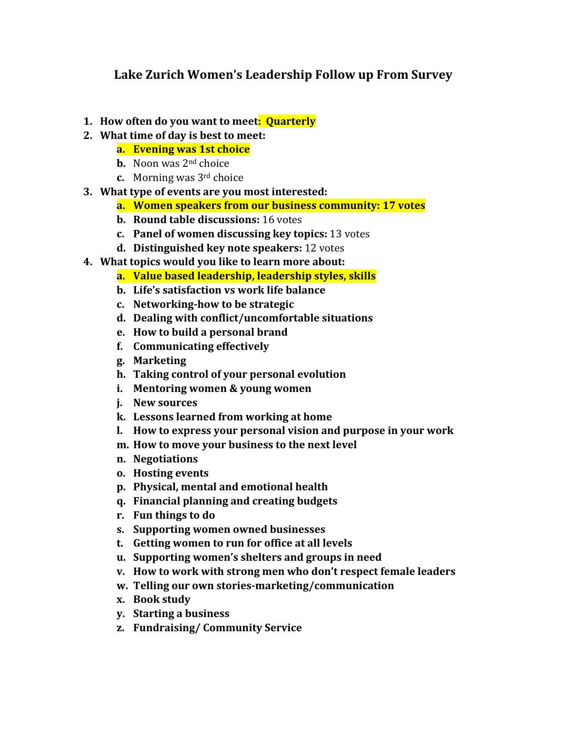## **Lake Zurich Women's Leadership Follow up From Survey**

- **1. How often do you want to meet: Quarterly**
- **2. What time of day is best to meet:**
	- **a. Evening was 1st choice**
		- **b.** Noon was 2<sup>nd</sup> choice
		- **c.** Morning was 3rd choice
- **3. What type of events are you most interested:**
	- **a. Women speakers from our business community: 17 votes**
	- **b. Round table discussions:** 16 votes
	- **c. Panel of women discussing key topics:** 13 votes
	- **d. Distinguished key note speakers:** 12 votes
- **4. What topics would you like to learn more about:**
	- **a. Value based leadership, leadership styles, skills**
	- **b. Life's satisfaction vs work life balance**
	- **c. Networking‐how to be strategic**
	- **d. Dealing with conflict/uncomfortable situations**
	- **e. How to build a personal brand**
	- **f. Communicating effectively**
	- **g. Marketing**
	- **h. Taking control of your personal evolution**
	- **i. Mentoring women & young women**
	- **j. New sources**
	- **k. Lessons learned from working at home**
	- **l. How to express your personal vision and purpose in your work**
	- **m. How to move your business to the next level**
	- **n. Negotiations**
	- **o. Hosting events**
	- **p. Physical, mental and emotional health**
	- **q. Financial planning and creating budgets**
	- **r. Fun things to do**
	- **s. Supporting women owned businesses**
	- **t. Getting women to run for office at all levels**
	- **u. Supporting women's shelters and groups in need**
	- **v. How to work with strong men who don't respect female leaders**
	- **w. Telling our own stories‐marketing/communication**
	- **x. Book study**
	- **y. Starting a business**
	- **z. Fundraising/ Community Service**